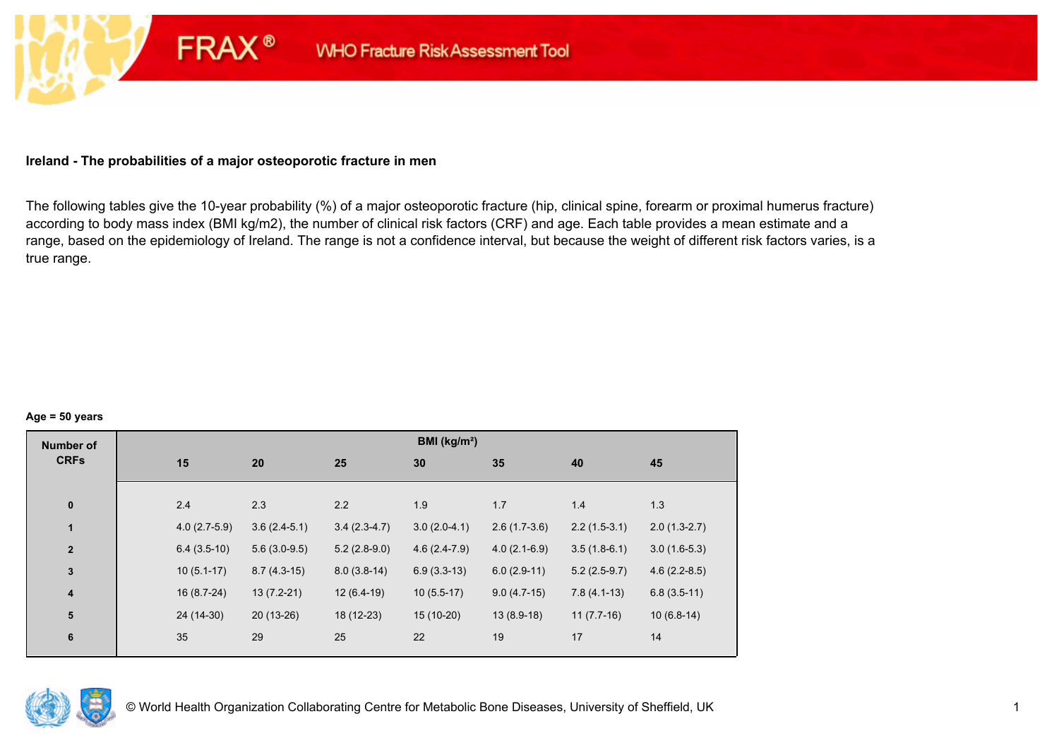## **Ireland - The probabilities of a major osteoporotic fracture in men**

**FRAX®** 

The following tables give the 10-year probability (%) of a major osteoporotic fracture (hip, clinical spine, forearm or proximal humerus fracture) according to body mass index (BMI kg/m2), the number of clinical risk factors (CRF) and age. Each table provides a mean estimate and a range, based on the epidemiology of Ireland. The range is not a confidence interval, but because the weight of different risk factors varies, is a true range.

#### **Age = 50 years**

| <b>Number of</b> |                |                |                | BMI (kg/m <sup>2</sup> ) |                |                |                |
|------------------|----------------|----------------|----------------|--------------------------|----------------|----------------|----------------|
| <b>CRFs</b>      | 15             | 20             | 25             | 30                       | 35             | 40             | 45             |
|                  |                |                |                |                          |                |                |                |
| $\pmb{0}$        | 2.4            | 2.3            | 2.2            | 1.9                      | 1.7            | 1.4            | 1.3            |
| 1                | $4.0(2.7-5.9)$ | $3.6(2.4-5.1)$ | $3.4(2.3-4.7)$ | $3.0(2.0-4.1)$           | $2.6(1.7-3.6)$ | $2.2(1.5-3.1)$ | $2.0(1.3-2.7)$ |
| $\mathbf{2}$     | $6.4(3.5-10)$  | $5.6(3.0-9.5)$ | $5.2(2.8-9.0)$ | $4.6(2.4-7.9)$           | $4.0(2.1-6.9)$ | $3.5(1.8-6.1)$ | $3.0(1.6-5.3)$ |
| $\mathbf{3}$     | $10(5.1-17)$   | $8.7(4.3-15)$  | $8.0(3.8-14)$  | $6.9(3.3-13)$            | $6.0(2.9-11)$  | $5.2(2.5-9.7)$ | $4.6(2.2-8.5)$ |
| $\boldsymbol{4}$ | $16(8.7-24)$   | $13(7.2-21)$   | $12(6.4-19)$   | $10(5.5-17)$             | $9.0(4.7-15)$  | $7.8(4.1-13)$  | $6.8(3.5-11)$  |
| 5                | 24 (14-30)     | $20(13-26)$    | 18 (12-23)     | $15(10-20)$              | $13(8.9-18)$   | $11(7.7-16)$   | $10(6.8-14)$   |
| $\bf 6$          | 35             | 29             | 25             | 22                       | 19             | 17             | 14             |
|                  |                |                |                |                          |                |                |                |

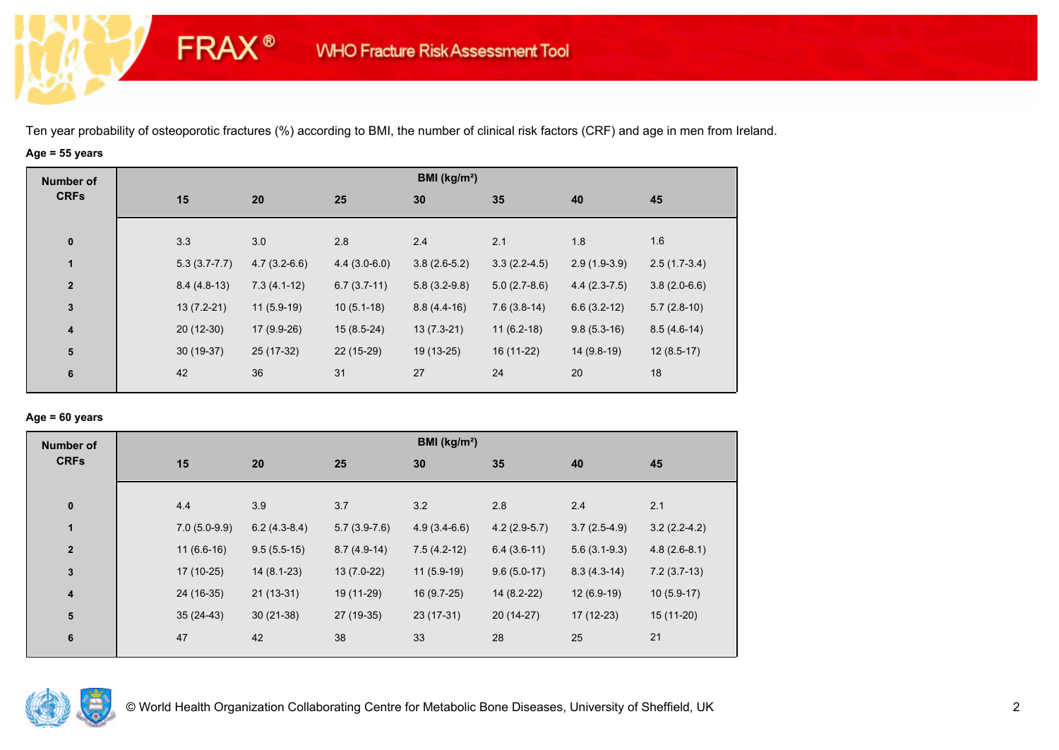# **Age = 55 years**

**FRAX®** 

| <b>Number of</b>        |     |                  |                |                | BMI (kg/m <sup>2</sup> ) |                |                |                |
|-------------------------|-----|------------------|----------------|----------------|--------------------------|----------------|----------------|----------------|
| <b>CRFs</b>             | 15  |                  | 20             | 25             | 30                       | 35             | 40             | 45             |
| $\bf{0}$                | 3.3 |                  | 3.0            | 2.8            | 2.4                      | 2.1            | 1.8            | 1.6            |
| $\mathbf{1}$            |     | $5.3(3.7 - 7.7)$ | $4.7(3.2-6.6)$ | $4.4(3.0-6.0)$ | $3.8(2.6-5.2)$           | $3.3(2.2-4.5)$ | $2.9(1.9-3.9)$ | $2.5(1.7-3.4)$ |
| $\overline{\mathbf{2}}$ |     | $8.4(4.8-13)$    | $7.3(4.1-12)$  | $6.7(3.7-11)$  | $5.8(3.2-9.8)$           | $5.0(2.7-8.6)$ | $4.4(2.3-7.5)$ | $3.8(2.0-6.6)$ |
| $\mathbf 3$             |     | $13(7.2-21)$     | $11(5.9-19)$   | $10(5.1-18)$   | $8.8(4.4-16)$            | $7.6(3.8-14)$  | $6.6(3.2-12)$  | $5.7(2.8-10)$  |
| $\overline{\mathbf{4}}$ |     | $20(12-30)$      | 17 (9.9-26)    | $15(8.5-24)$   | $13(7.3-21)$             | $11(6.2-18)$   | $9.8(5.3-16)$  | $8.5(4.6-14)$  |
| 5                       |     | $30(19-37)$      | 25 (17-32)     | 22 (15-29)     | 19 (13-25)               | 16 (11-22)     | 14 (9.8-19)    | $12(8.5-17)$   |
| 6                       | 42  |                  | 36             | 31             | 27                       | 24             | 20             | 18             |

## **Age = 60 years**

| <b>Number of</b> |                |                |                | BMI ( $kg/m2$ ) |                |                |                |
|------------------|----------------|----------------|----------------|-----------------|----------------|----------------|----------------|
| <b>CRFs</b>      | 15             | 20             | 25             | 30              | 35             | 40             | 45             |
|                  |                |                |                |                 |                |                |                |
| $\pmb{0}$        | 4.4            | 3.9            | 3.7            | 3.2             | 2.8            | 2.4            | 2.1            |
| $\mathbf{1}$     | $7.0(5.0-9.9)$ | $6.2(4.3-8.4)$ | $5.7(3.9-7.6)$ | $4.9(3.4-6.6)$  | $4.2(2.9-5.7)$ | $3.7(2.5-4.9)$ | $3.2(2.2-4.2)$ |
| $\overline{2}$   | $11(6.6-16)$   | $9.5(5.5-15)$  | $8.7(4.9-14)$  | $7.5(4.2-12)$   | $6.4(3.6-11)$  | $5.6(3.1-9.3)$ | $4.8(2.6-8.1)$ |
| 3                | 17 (10-25)     | $14(8.1-23)$   | $13(7.0-22)$   | $11(5.9-19)$    | $9.6(5.0-17)$  | $8.3(4.3-14)$  | $7.2(3.7-13)$  |
| 4                | 24 (16-35)     | $21(13-31)$    | 19 (11-29)     | 16 (9.7-25)     | 14 (8.2-22)    | $12(6.9-19)$   | $10(5.9-17)$   |
| 5                | $35(24-43)$    | $30(21-38)$    | 27 (19-35)     | 23 (17-31)      | 20 (14-27)     | $17(12-23)$    | 15 (11-20)     |
| $6\phantom{1}6$  | 47             | 42             | 38             | 33              | 28             | 25             | 21             |

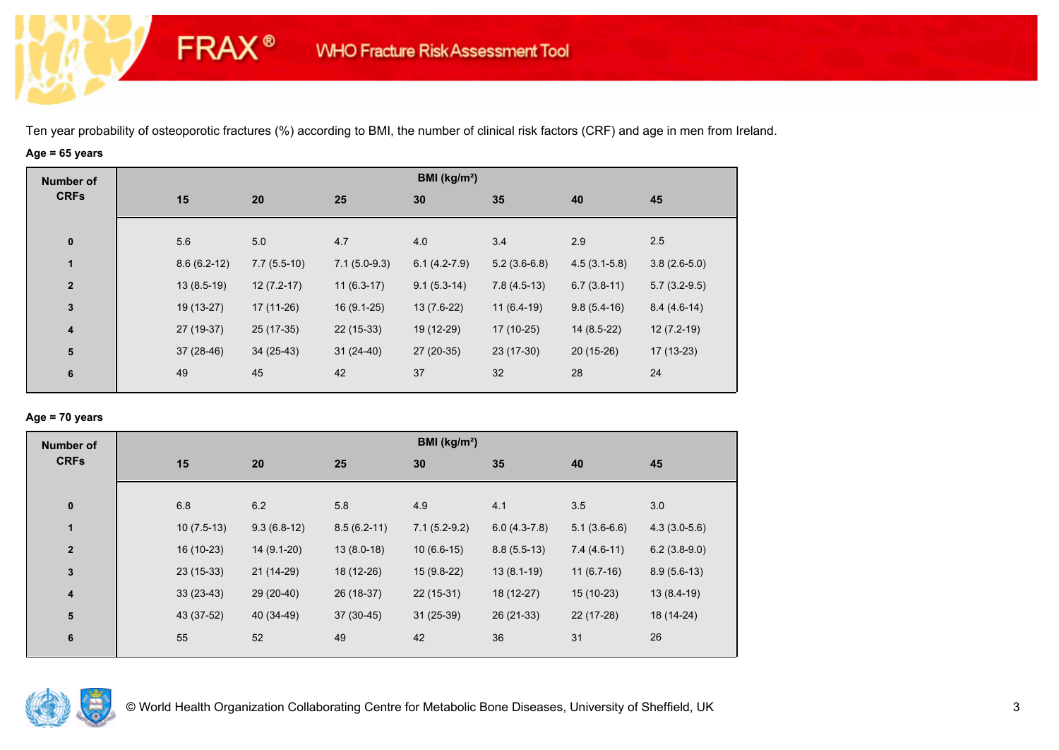# **Age = 65 years**

**FRAX®** 

| <b>CRFs</b><br>15<br>35<br>20<br>25<br>30<br>45<br>40                                                                             |  |
|-----------------------------------------------------------------------------------------------------------------------------------|--|
|                                                                                                                                   |  |
|                                                                                                                                   |  |
| 5.6<br>3.4<br>2.5<br>5.0<br>4.7<br>4.0<br>2.9<br>$\bf{0}$                                                                         |  |
| 1<br>$3.8(2.6-5.0)$<br>$7.7(5.5-10)$<br>$7.1(5.0-9.3)$<br>$6.1(4.2-7.9)$<br>$5.2(3.6-6.8)$<br>$4.5(3.1-5.8)$<br>$8.6(6.2-12)$     |  |
| $12(7.2-17)$<br>$11(6.3-17)$<br>$7.8(4.5-13)$<br>$6.7(3.8-11)$<br>$13(8.5-19)$<br>$9.1(5.3-14)$<br>$5.7(3.2-9.5)$<br>$\mathbf{2}$ |  |
| $\mathbf 3$<br>$13(7.6-22)$<br>$9.8(5.4-16)$<br>19 (13-27)<br>17 (11-26)<br>$16(9.1-25)$<br>$11(6.4-19)$<br>$8.4(4.6-14)$         |  |
| 27 (19-37)<br>$22(15-33)$<br>19 (12-29)<br>$12(7.2-19)$<br>25 (17-35)<br>$17(10-25)$<br>$14(8.5-22)$<br>4                         |  |
| ${\bf 5}$<br>$37(28-46)$<br>$31(24-40)$<br>27 (20-35)<br>23 (17-30)<br>$20(15-26)$<br>$17(13-23)$<br>$34(25-43)$                  |  |
| 37<br>32<br>42<br>28<br>49<br>45<br>24<br>6                                                                                       |  |

## **Age = 70 years**

| <b>Number of</b>        |              |               |               | BMI (kg/m <sup>2</sup> ) |                |                |                |
|-------------------------|--------------|---------------|---------------|--------------------------|----------------|----------------|----------------|
| <b>CRFs</b>             | 15           | 20            | 25            | 30                       | 35             | 40             | 45             |
| $\pmb{0}$               | 6.8          | 6.2           | 5.8           | 4.9                      | 4.1            | 3.5            | 3.0            |
| $\mathbf{1}$            | $10(7.5-13)$ | $9.3(6.8-12)$ | $8.5(6.2-11)$ | $7.1(5.2-9.2)$           | $6.0(4.3-7.8)$ | $5.1(3.6-6.6)$ | $4.3(3.0-5.6)$ |
| $\overline{\mathbf{2}}$ | 16 (10-23)   | 14 (9.1-20)   | $13(8.0-18)$  | $10(6.6-15)$             | $8.8(5.5-13)$  | $7.4(4.6-11)$  | $6.2(3.8-9.0)$ |
| $\mathbf 3$             | $23(15-33)$  | $21(14-29)$   | 18 (12-26)    | 15 (9.8-22)              | $13(8.1-19)$   | $11(6.7-16)$   | $8.9(5.6-13)$  |
| $\overline{\mathbf{4}}$ | $33(23-43)$  | 29 (20-40)    | 26 (18-37)    | $22(15-31)$              | 18 (12-27)     | $15(10-23)$    | $13(8.4-19)$   |
| ${\bf 5}$               | 43 (37-52)   | 40 (34-49)    | 37 (30-45)    | $31(25-39)$              | 26 (21-33)     | 22 (17-28)     | 18 (14-24)     |
| 6                       | 55           | 52            | 49            | 42                       | 36             | 31             | 26             |
|                         |              |               |               |                          |                |                |                |

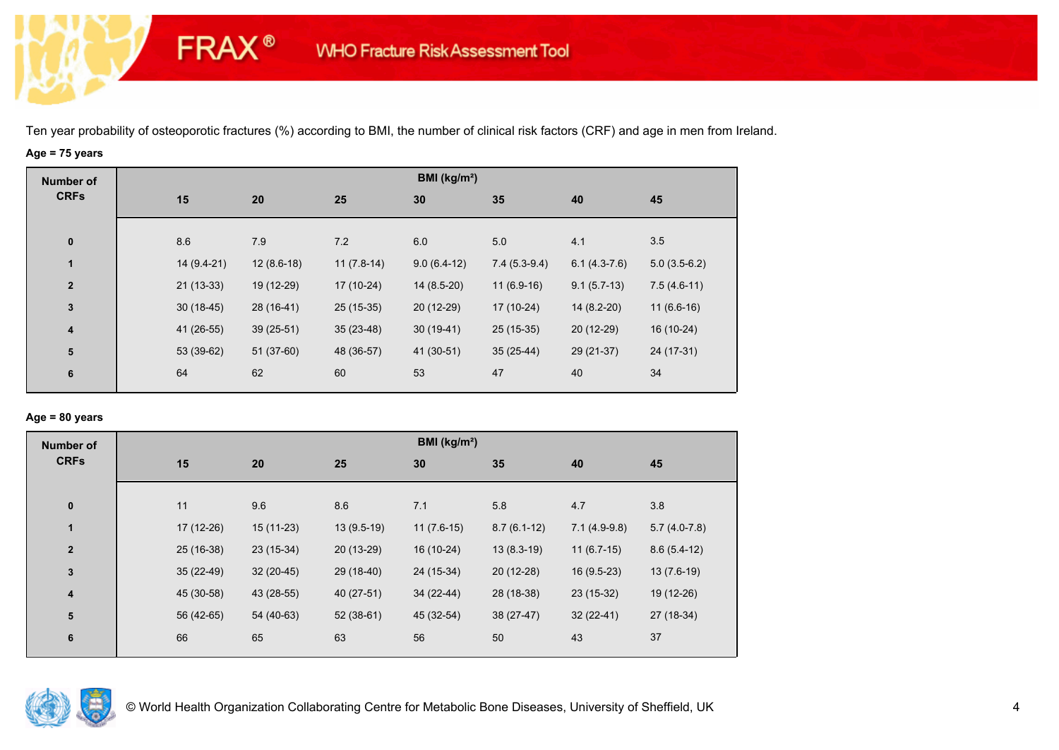# **Age = 75 years**

**FRAX®** 

| <b>Number of</b>        |             |              |              | BMI (kg/m <sup>2</sup> ) |                |                |                |
|-------------------------|-------------|--------------|--------------|--------------------------|----------------|----------------|----------------|
| <b>CRFs</b>             | 15          | 20           | 25           | 30                       | 35             | 40             | 45             |
|                         |             |              |              |                          |                |                |                |
| $\bf{0}$                | 8.6         | 7.9          | 7.2          | 6.0                      | 5.0            | 4.1            | 3.5            |
| $\mathbf{1}$            | 14 (9.4-21) | $12(8.6-18)$ | $11(7.8-14)$ | $9.0(6.4-12)$            | $7.4(5.3-9.4)$ | $6.1(4.3-7.6)$ | $5.0(3.5-6.2)$ |
| $\overline{\mathbf{2}}$ | $21(13-33)$ | 19 (12-29)   | 17 (10-24)   | $14(8.5-20)$             | $11(6.9-16)$   | $9.1(5.7-13)$  | $7.5(4.6-11)$  |
| $\mathbf{3}$            | $30(18-45)$ | 28 (16-41)   | 25 (15-35)   | 20 (12-29)               | $17(10-24)$    | $14(8.2-20)$   | $11(6.6-16)$   |
| $\overline{\mathbf{4}}$ | 41 (26-55)  | $39(25-51)$  | $35(23-48)$  | $30(19-41)$              | $25(15-35)$    | 20 (12-29)     | 16 (10-24)     |
| ${\bf 5}$               | 53 (39-62)  | $51(37-60)$  | 48 (36-57)   | 41 (30-51)               | $35(25-44)$    | 29 (21-37)     | 24 (17-31)     |
| 6                       | 64          | 62           | 60           | 53                       | 47             | 40             | 34             |
|                         |             |              |              |                          |                |                |                |

## **Age = 80 years**

| <b>Number of</b>        |             |             |              | BMI (kg/m <sup>2</sup> ) |               |                |                |  |
|-------------------------|-------------|-------------|--------------|--------------------------|---------------|----------------|----------------|--|
| <b>CRFs</b>             | 15          | 20          | 25           | 30                       | 35            | 40             | 45             |  |
|                         |             |             |              |                          |               |                |                |  |
| $\pmb{0}$               | 11          | 9.6         | 8.6          | 7.1                      | 5.8           | 4.7            | 3.8            |  |
| 1                       | 17 (12-26)  | 15 (11-23)  | $13(9.5-19)$ | $11(7.6-15)$             | $8.7(6.1-12)$ | $7.1(4.9-9.8)$ | $5.7(4.0-7.8)$ |  |
| $\mathbf{2}$            | 25 (16-38)  | 23 (15-34)  | 20 (13-29)   | 16 (10-24)               | $13(8.3-19)$  | $11(6.7-15)$   | $8.6(5.4-12)$  |  |
| $\mathbf 3$             | $35(22-49)$ | $32(20-45)$ | 29 (18-40)   | 24 (15-34)               | $20(12-28)$   | $16(9.5-23)$   | $13(7.6-19)$   |  |
| $\overline{\mathbf{4}}$ | 45 (30-58)  | 43 (28-55)  | 40 (27-51)   | 34 (22-44)               | 28 (18-38)    | $23(15-32)$    | 19 (12-26)     |  |
| ${\bf 5}$               | 56 (42-65)  | 54 (40-63)  | $52(38-61)$  | 45 (32-54)               | $38(27-47)$   | $32(22-41)$    | 27 (18-34)     |  |
| 6                       | 66          | 65          | 63           | 56                       | 50            | 43             | 37             |  |
|                         |             |             |              |                          |               |                |                |  |